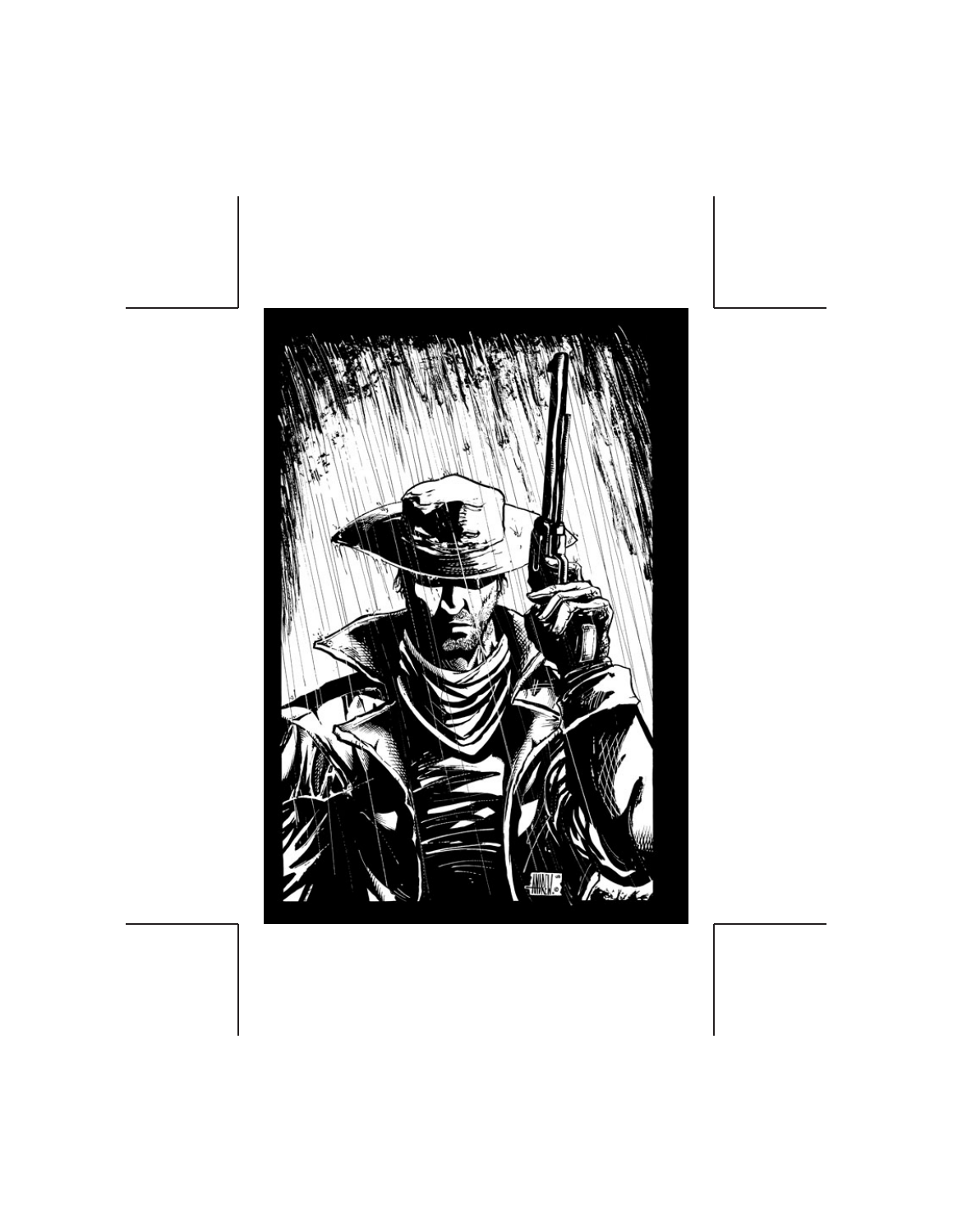